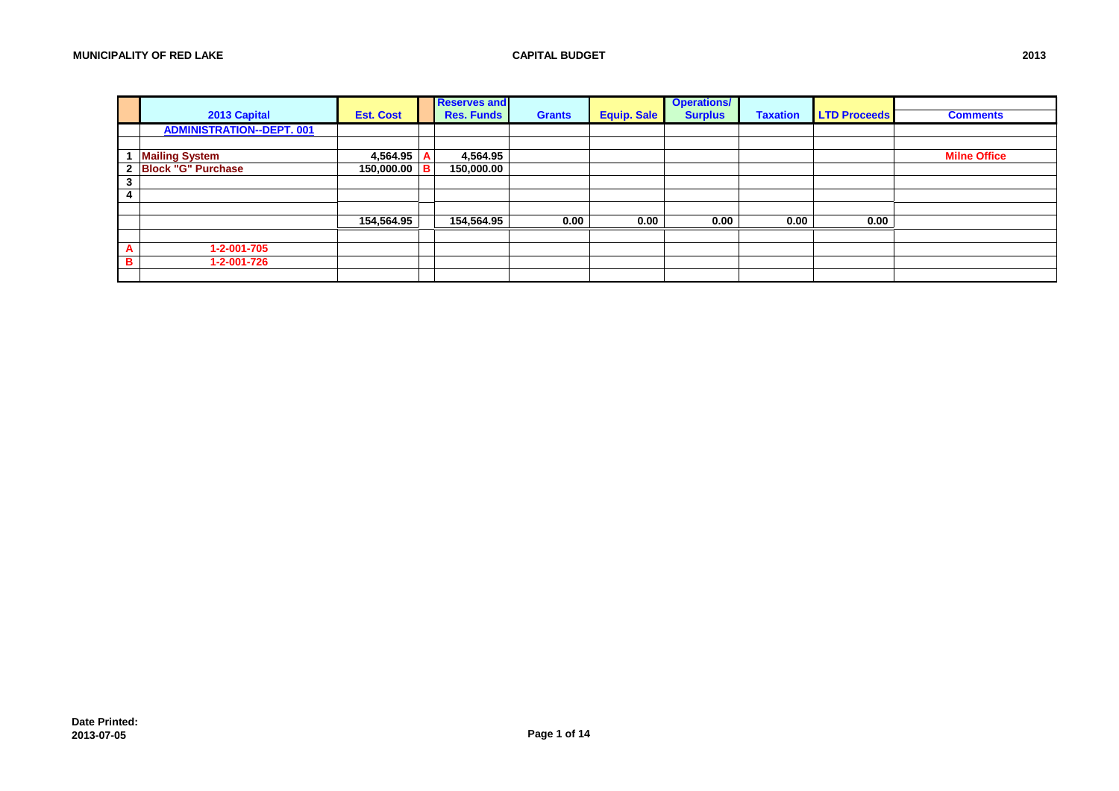|         |                                  |                  | <b>Reserves and</b> |               |                    | <b>Operations/</b> |                 |                     |                     |
|---------|----------------------------------|------------------|---------------------|---------------|--------------------|--------------------|-----------------|---------------------|---------------------|
|         | 2013 Capital                     | <b>Est. Cost</b> | <b>Res. Funds</b>   | <b>Grants</b> | <b>Equip. Sale</b> | <b>Surplus</b>     | <b>Taxation</b> | <b>LTD Proceeds</b> | <b>Comments</b>     |
|         | <b>ADMINISTRATION--DEPT. 001</b> |                  |                     |               |                    |                    |                 |                     |                     |
|         |                                  |                  |                     |               |                    |                    |                 |                     |                     |
|         | <b>Mailing System</b>            | 4,564.95         | 4,564.95            |               |                    |                    |                 |                     | <b>Milne Office</b> |
|         | 2 Block "G" Purchase             | 150,000.00   B   | 150,000.00          |               |                    |                    |                 |                     |                     |
| ົ<br>J. |                                  |                  |                     |               |                    |                    |                 |                     |                     |
|         |                                  |                  |                     |               |                    |                    |                 |                     |                     |
|         |                                  |                  |                     |               |                    |                    |                 |                     |                     |
|         |                                  | 154,564.95       | 154,564.95          | 0.00          | 0.00               | 0.00               | 0.00            | 0.00                |                     |
|         |                                  |                  |                     |               |                    |                    |                 |                     |                     |
| A       | 1-2-001-705                      |                  |                     |               |                    |                    |                 |                     |                     |
| в       | 1-2-001-726                      |                  |                     |               |                    |                    |                 |                     |                     |
|         |                                  |                  |                     |               |                    |                    |                 |                     |                     |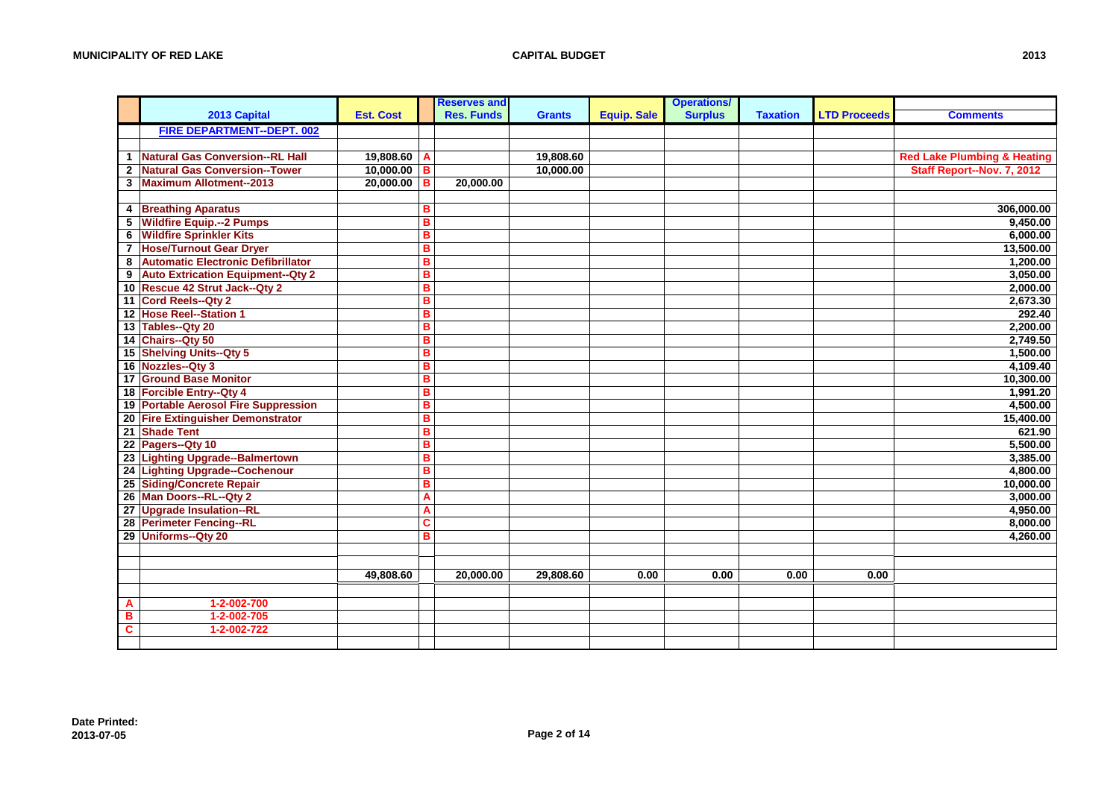|                         |                                          |                  |   | <b>Reserves and</b> |               |                    | <b>Operations/</b> |                 |                     |                                        |
|-------------------------|------------------------------------------|------------------|---|---------------------|---------------|--------------------|--------------------|-----------------|---------------------|----------------------------------------|
|                         | 2013 Capital                             | <b>Est. Cost</b> |   | <b>Res. Funds</b>   | <b>Grants</b> | <b>Equip. Sale</b> | <b>Surplus</b>     | <b>Taxation</b> | <b>LTD Proceeds</b> | <b>Comments</b>                        |
|                         | <b>FIRE DEPARTMENT--DEPT. 002</b>        |                  |   |                     |               |                    |                    |                 |                     |                                        |
|                         |                                          |                  |   |                     |               |                    |                    |                 |                     |                                        |
| $\mathbf{1}$            | <b>Natural Gas Conversion--RL Hall</b>   | 19,808.60        | A |                     | 19,808.60     |                    |                    |                 |                     | <b>Red Lake Plumbing &amp; Heating</b> |
| $\mathbf{2}$            | <b>Natural Gas Conversion--Tower</b>     | 10,000.00        | в |                     | 10,000.00     |                    |                    |                 |                     | Staff Report--Nov. 7, 2012             |
|                         | 3 Maximum Allotment--2013                | 20,000.00        | в | 20,000.00           |               |                    |                    |                 |                     |                                        |
|                         |                                          |                  |   |                     |               |                    |                    |                 |                     |                                        |
|                         | 4 Breathing Aparatus                     |                  | B |                     |               |                    |                    |                 |                     | 306,000.00                             |
|                         | 5 Wildfire Equip.--2 Pumps               |                  | B |                     |               |                    |                    |                 |                     | 9,450.00                               |
|                         | <b>6</b> Wildfire Sprinkler Kits         |                  | B |                     |               |                    |                    |                 |                     | 6,000.00                               |
| $\overline{\mathbf{r}}$ | <b>Hose/Turnout Gear Dryer</b>           |                  | B |                     |               |                    |                    |                 |                     | 13,500.00                              |
| 8                       | Automatic Electronic Defibrillator       |                  | B |                     |               |                    |                    |                 |                     | 1,200.00                               |
| 9                       | <b>Auto Extrication Equipment--Qty 2</b> |                  | B |                     |               |                    |                    |                 |                     | 3,050.00                               |
|                         | 10 Rescue 42 Strut Jack--Qty 2           |                  | B |                     |               |                    |                    |                 |                     | 2,000.00                               |
|                         | 11 Cord Reels--Qty 2                     |                  | B |                     |               |                    |                    |                 |                     | 2,673.30                               |
|                         | 12 Hose Reel--Station 1                  |                  | в |                     |               |                    |                    |                 |                     | 292.40                                 |
|                         | 13 Tables--Qty 20                        |                  | B |                     |               |                    |                    |                 |                     | 2,200.00                               |
|                         | 14 Chairs--Qty 50                        |                  | B |                     |               |                    |                    |                 |                     | 2,749.50                               |
|                         | 15 Shelving Units--Qty 5                 |                  | B |                     |               |                    |                    |                 |                     | 1,500.00                               |
|                         | 16 Nozzles--Qty 3                        |                  | B |                     |               |                    |                    |                 |                     | 4,109.40                               |
|                         | 17 Ground Base Monitor                   |                  | B |                     |               |                    |                    |                 |                     | 10,300.00                              |
|                         | 18 Forcible Entry--Qty 4                 |                  | B |                     |               |                    |                    |                 |                     | 1,991.20                               |
|                         | 19 Portable Aerosol Fire Suppression     |                  | B |                     |               |                    |                    |                 |                     | 4,500.00                               |
|                         | 20 Fire Extinguisher Demonstrator        |                  | B |                     |               |                    |                    |                 |                     | 15,400.00                              |
|                         | 21 Shade Tent                            |                  | B |                     |               |                    |                    |                 |                     | 621.90                                 |
|                         | 22 Pagers--Qty 10                        |                  | B |                     |               |                    |                    |                 |                     | 5,500.00                               |
|                         | 23 Lighting Upgrade--Balmertown          |                  | B |                     |               |                    |                    |                 |                     | 3.385.00                               |
|                         | 24 Lighting Upgrade--Cochenour           |                  | B |                     |               |                    |                    |                 |                     | 4,800.00                               |
|                         | 25 Siding/Concrete Repair                |                  | B |                     |               |                    |                    |                 |                     | 10,000.00                              |
|                         | 26 Man Doors--RL--Qty 2                  |                  | A |                     |               |                    |                    |                 |                     | 3,000.00                               |
|                         | 27 Upgrade Insulation--RL                |                  | A |                     |               |                    |                    |                 |                     | 4,950.00                               |
|                         | 28 Perimeter Fencing--RL                 |                  | C |                     |               |                    |                    |                 |                     | 8,000.00                               |
|                         | 29 Uniforms--Qty 20                      |                  | B |                     |               |                    |                    |                 |                     | 4,260.00                               |
|                         |                                          |                  |   |                     |               |                    |                    |                 |                     |                                        |
|                         |                                          |                  |   |                     |               |                    |                    |                 |                     |                                        |
|                         |                                          | 49,808.60        |   | 20,000.00           | 29,808.60     | 0.00               | 0.00               | 0.00            | 0.00                |                                        |
|                         |                                          |                  |   |                     |               |                    |                    |                 |                     |                                        |
| A                       | 1-2-002-700                              |                  |   |                     |               |                    |                    |                 |                     |                                        |
| в                       | 1-2-002-705                              |                  |   |                     |               |                    |                    |                 |                     |                                        |
| $\mathbf c$             | 1-2-002-722                              |                  |   |                     |               |                    |                    |                 |                     |                                        |
|                         |                                          |                  |   |                     |               |                    |                    |                 |                     |                                        |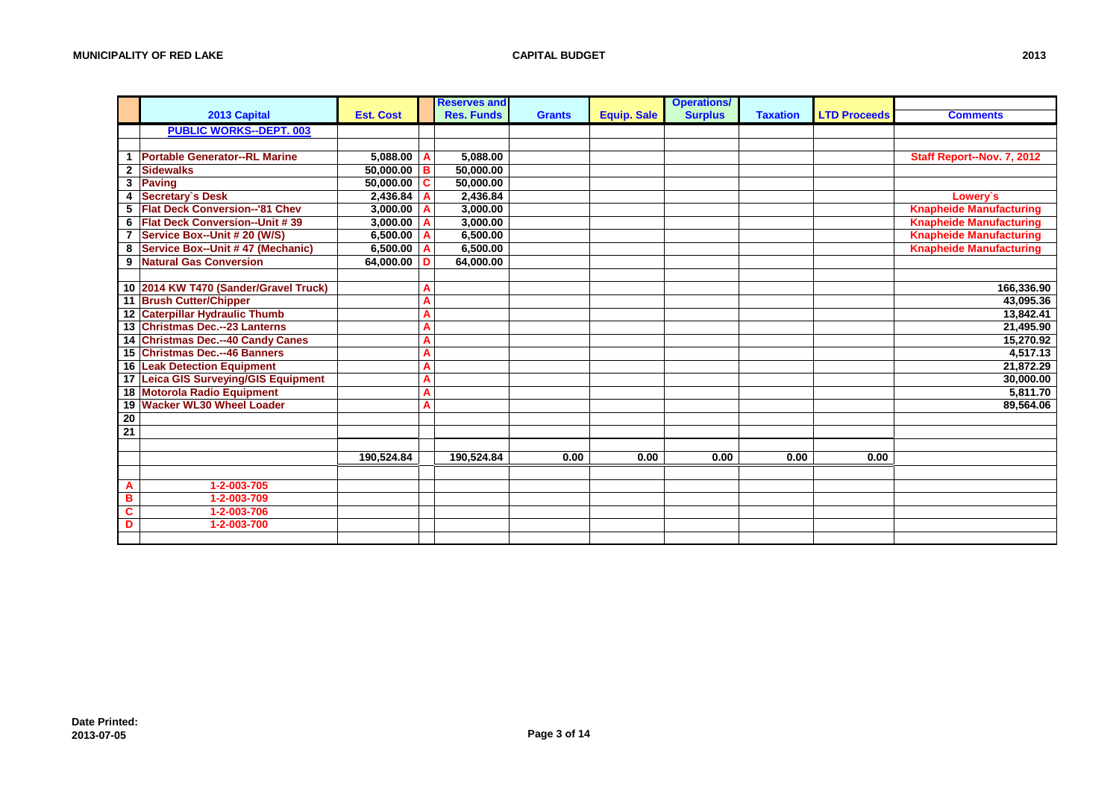|                         |                                       |                  |   | <b>Reserves and</b> |               |                    | <b>Operations/</b> |                 |                     |                                |
|-------------------------|---------------------------------------|------------------|---|---------------------|---------------|--------------------|--------------------|-----------------|---------------------|--------------------------------|
|                         | 2013 Capital                          | <b>Est. Cost</b> |   | <b>Res. Funds</b>   | <b>Grants</b> | <b>Equip. Sale</b> | <b>Surplus</b>     | <b>Taxation</b> | <b>LTD Proceeds</b> | <b>Comments</b>                |
|                         | <b>PUBLIC WORKS--DEPT. 003</b>        |                  |   |                     |               |                    |                    |                 |                     |                                |
|                         |                                       |                  |   |                     |               |                    |                    |                 |                     |                                |
|                         | <b>Portable Generator--RL Marine</b>  | 5,088.00         | A | 5,088.00            |               |                    |                    |                 |                     | Staff Report--Nov. 7, 2012     |
|                         | 2 Sidewalks                           | 50,000.00        | в | 50,000.00           |               |                    |                    |                 |                     |                                |
| 3                       | Paving                                | 50,000.00        | C | 50,000.00           |               |                    |                    |                 |                     |                                |
| 4                       | Secretary's Desk                      | 2,436.84         |   | 2.436.84            |               |                    |                    |                 |                     | Lowerv's                       |
|                         | 5 Flat Deck Conversion--'81 Chev      | 3,000.00         |   | 3,000.00            |               |                    |                    |                 |                     | <b>Knapheide Manufacturing</b> |
|                         | 6 Flat Deck Conversion--Unit #39      | 3,000.00         |   | 3,000.00            |               |                    |                    |                 |                     | <b>Knapheide Manufacturing</b> |
| $\overline{7}$          | Service Box--Unit # 20 (W/S)          | 6,500.00         |   | 6,500.00            |               |                    |                    |                 |                     | <b>Knapheide Manufacturing</b> |
| 8                       | Service Box--Unit #47 (Mechanic)      | 6,500.00         | A | 6,500.00            |               |                    |                    |                 |                     | <b>Knapheide Manufacturing</b> |
|                         | 9 Natural Gas Conversion              | 64,000.00        | D | 64,000.00           |               |                    |                    |                 |                     |                                |
|                         |                                       |                  |   |                     |               |                    |                    |                 |                     |                                |
|                         | 10 2014 KW T470 (Sander/Gravel Truck) |                  | A |                     |               |                    |                    |                 |                     | 166,336.90                     |
|                         | 11 Brush Cutter/Chipper               |                  | A |                     |               |                    |                    |                 |                     | 43,095.36                      |
|                         | 12 Caterpillar Hydraulic Thumb        |                  | A |                     |               |                    |                    |                 |                     | 13,842.41                      |
|                         | 13 Christmas Dec.--23 Lanterns        |                  | A |                     |               |                    |                    |                 |                     | 21,495.90                      |
|                         | 14 Christmas Dec.--40 Candy Canes     |                  | A |                     |               |                    |                    |                 |                     | 15,270.92                      |
|                         | 15 Christmas Dec.--46 Banners         |                  | A |                     |               |                    |                    |                 |                     | 4,517.13                       |
|                         | <b>16 Leak Detection Equipment</b>    |                  | A |                     |               |                    |                    |                 |                     | 21,872.29                      |
|                         | 17 Leica GIS Surveying/GIS Equipment  |                  | A |                     |               |                    |                    |                 |                     | 30,000.00                      |
|                         | 18 Motorola Radio Equipment           |                  | A |                     |               |                    |                    |                 |                     | 5,811.70                       |
|                         | 19 Wacker WL30 Wheel Loader           |                  | A |                     |               |                    |                    |                 |                     | 89.564.06                      |
| 20                      |                                       |                  |   |                     |               |                    |                    |                 |                     |                                |
| $\overline{21}$         |                                       |                  |   |                     |               |                    |                    |                 |                     |                                |
|                         |                                       |                  |   |                     |               |                    |                    |                 |                     |                                |
|                         |                                       | 190,524.84       |   | 190,524.84          | 0.00          | 0.00               | 0.00               | 0.00            | 0.00                |                                |
|                         |                                       |                  |   |                     |               |                    |                    |                 |                     |                                |
| A                       | 1-2-003-705                           |                  |   |                     |               |                    |                    |                 |                     |                                |
| B                       | 1-2-003-709                           |                  |   |                     |               |                    |                    |                 |                     |                                |
| $\overline{\mathbf{c}}$ | 1-2-003-706                           |                  |   |                     |               |                    |                    |                 |                     |                                |
| D                       | 1-2-003-700                           |                  |   |                     |               |                    |                    |                 |                     |                                |
|                         |                                       |                  |   |                     |               |                    |                    |                 |                     |                                |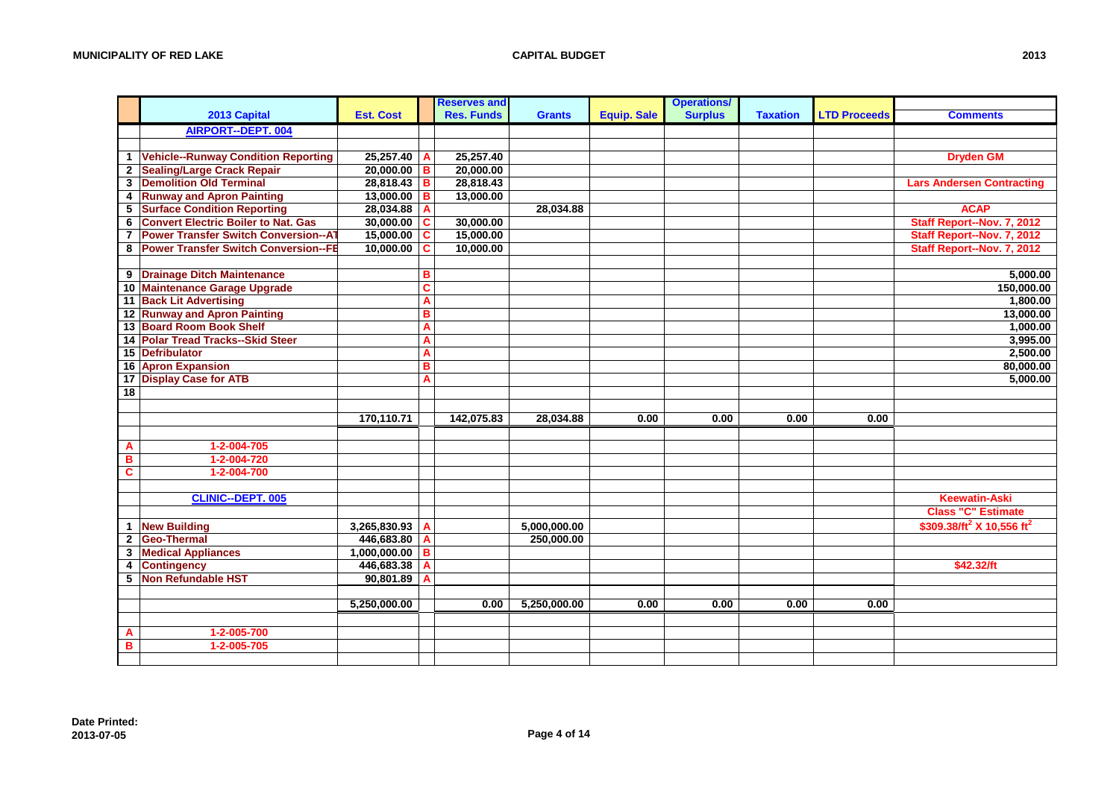|              |                                             |                  |                         | <b>Reserves and</b> |               |                    | <b>Operations/</b> |                 |                     |                                                   |
|--------------|---------------------------------------------|------------------|-------------------------|---------------------|---------------|--------------------|--------------------|-----------------|---------------------|---------------------------------------------------|
|              | 2013 Capital                                | <b>Est. Cost</b> |                         | <b>Res. Funds</b>   | <b>Grants</b> | <b>Equip. Sale</b> | <b>Surplus</b>     | <b>Taxation</b> | <b>LTD Proceeds</b> | <b>Comments</b>                                   |
|              | <b>AIRPORT--DEPT. 004</b>                   |                  |                         |                     |               |                    |                    |                 |                     |                                                   |
|              |                                             |                  |                         |                     |               |                    |                    |                 |                     |                                                   |
|              | 1 Vehicle--Runway Condition Reporting       | 25,257.40        | A                       | 25,257.40           |               |                    |                    |                 |                     | <b>Dryden GM</b>                                  |
|              | 2 Sealing/Large Crack Repair                | $20,000.00$ B    |                         | 20,000.00           |               |                    |                    |                 |                     |                                                   |
| 3            | <b>Demolition Old Terminal</b>              | 28,818.43        | в                       | 28,818.43           |               |                    |                    |                 |                     | <b>Lars Andersen Contracting</b>                  |
|              | 4 Runway and Apron Painting                 | 13,000.00        | B                       | 13,000.00           |               |                    |                    |                 |                     |                                                   |
| 5            | <b>Surface Condition Reporting</b>          | 28,034.88        | A                       |                     | 28,034.88     |                    |                    |                 |                     | <b>ACAP</b>                                       |
| 6            | <b>Convert Electric Boiler to Nat. Gas</b>  | 30,000.00        | C                       | 30,000.00           |               |                    |                    |                 |                     | Staff Report--Nov. 7, 2012                        |
| 7            | <b>Power Transfer Switch Conversion--AT</b> | 15,000.00        | C                       | 15,000.00           |               |                    |                    |                 |                     | Staff Report--Nov. 7, 2012                        |
|              | 8 Power Transfer Switch Conversion--FE      | 10,000.00        | C                       | 10,000.00           |               |                    |                    |                 |                     | Staff Report--Nov. 7, 2012                        |
|              |                                             |                  |                         |                     |               |                    |                    |                 |                     |                                                   |
|              | 9 Drainage Ditch Maintenance                |                  | в                       |                     |               |                    |                    |                 |                     | 5,000.00                                          |
|              | 10 Maintenance Garage Upgrade               |                  | $\overline{\mathbf{c}}$ |                     |               |                    |                    |                 |                     | 150,000.00                                        |
|              | 11 Back Lit Advertising                     |                  | A                       |                     |               |                    |                    |                 |                     | 1,800.00                                          |
|              | 12 Runway and Apron Painting                |                  | B                       |                     |               |                    |                    |                 |                     | 13,000.00                                         |
|              | 13 Board Room Book Shelf                    |                  | A                       |                     |               |                    |                    |                 |                     | 1,000.00                                          |
|              | 14 Polar Tread Tracks--Skid Steer           |                  | A                       |                     |               |                    |                    |                 |                     | 3,995.00                                          |
|              | 15 Defribulator                             |                  | A                       |                     |               |                    |                    |                 |                     | 2,500.00                                          |
|              | 16 Apron Expansion                          |                  | B                       |                     |               |                    |                    |                 |                     | 80,000.00                                         |
|              | 17 Display Case for ATB                     |                  | A                       |                     |               |                    |                    |                 |                     | 5,000.00                                          |
| 18           |                                             |                  |                         |                     |               |                    |                    |                 |                     |                                                   |
|              |                                             |                  |                         |                     |               |                    |                    |                 |                     |                                                   |
|              |                                             | 170,110.71       |                         | 142,075.83          | 28,034.88     | 0.00               | 0.00               | 0.00            | 0.00                |                                                   |
|              |                                             |                  |                         |                     |               |                    |                    |                 |                     |                                                   |
| A            | 1-2-004-705                                 |                  |                         |                     |               |                    |                    |                 |                     |                                                   |
| В            | 1-2-004-720                                 |                  |                         |                     |               |                    |                    |                 |                     |                                                   |
| C            | 1-2-004-700                                 |                  |                         |                     |               |                    |                    |                 |                     |                                                   |
|              |                                             |                  |                         |                     |               |                    |                    |                 |                     |                                                   |
|              | <b>CLINIC--DEPT. 005</b>                    |                  |                         |                     |               |                    |                    |                 |                     | <b>Keewatin-Aski</b>                              |
|              |                                             |                  |                         |                     |               |                    |                    |                 |                     | <b>Class "C" Estimate</b>                         |
| 1            | <b>New Building</b>                         | 3,265,830.93     | A                       |                     | 5,000,000.00  |                    |                    |                 |                     | \$309.38/ft <sup>2</sup> X 10,556 ft <sup>2</sup> |
| $\mathbf{2}$ | Geo-Thermal                                 | 446,683.80       | A                       |                     | 250,000.00    |                    |                    |                 |                     |                                                   |
| 3            | <b>Medical Appliances</b>                   | 1,000,000.00     | в                       |                     |               |                    |                    |                 |                     |                                                   |
| 4            | <b>Contingency</b>                          | 446,683.38       | A                       |                     |               |                    |                    |                 |                     | \$42.32/ft                                        |
| 5            | Non Refundable HST                          | 90,801.89        | A                       |                     |               |                    |                    |                 |                     |                                                   |
|              |                                             |                  |                         |                     |               |                    |                    |                 |                     |                                                   |
|              |                                             | 5,250,000.00     |                         | 0.00                | 5,250,000.00  | 0.00               | 0.00               | 0.00            | 0.00                |                                                   |
|              |                                             |                  |                         |                     |               |                    |                    |                 |                     |                                                   |
| A            | 1-2-005-700                                 |                  |                         |                     |               |                    |                    |                 |                     |                                                   |
| в            | 1-2-005-705                                 |                  |                         |                     |               |                    |                    |                 |                     |                                                   |
|              |                                             |                  |                         |                     |               |                    |                    |                 |                     |                                                   |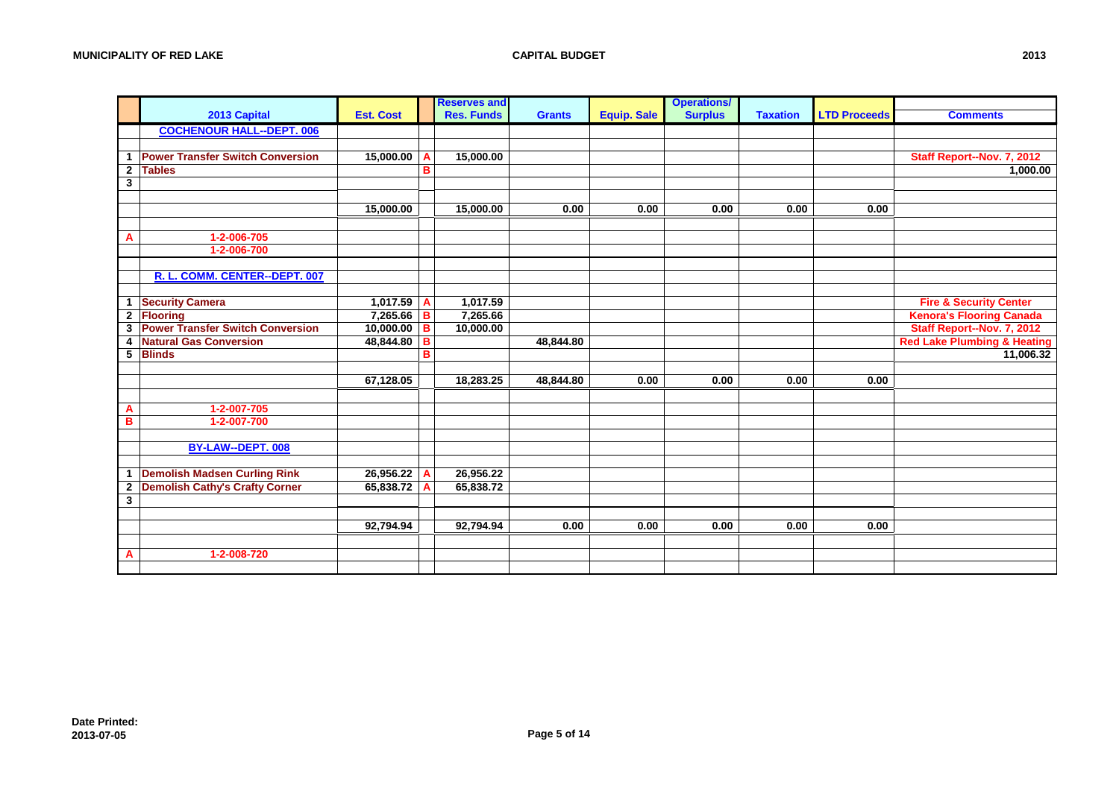|              |                                         |                  |   | <b>Reserves and</b> |               |                    | <b>Operations/</b> |                 |                     |                                        |
|--------------|-----------------------------------------|------------------|---|---------------------|---------------|--------------------|--------------------|-----------------|---------------------|----------------------------------------|
|              | 2013 Capital                            | <b>Est. Cost</b> |   | <b>Res. Funds</b>   | <b>Grants</b> | <b>Equip. Sale</b> | <b>Surplus</b>     | <b>Taxation</b> | <b>LTD Proceeds</b> | <b>Comments</b>                        |
|              | <b>COCHENOUR HALL--DEPT. 006</b>        |                  |   |                     |               |                    |                    |                 |                     |                                        |
|              |                                         |                  |   |                     |               |                    |                    |                 |                     |                                        |
|              | 1 Power Transfer Switch Conversion      | 15,000.00        | A | 15,000.00           |               |                    |                    |                 |                     | Staff Report--Nov. 7, 2012             |
| $\mathbf{2}$ | <b>Tables</b>                           |                  | B |                     |               |                    |                    |                 |                     | 1,000.00                               |
| 3            |                                         |                  |   |                     |               |                    |                    |                 |                     |                                        |
|              |                                         |                  |   |                     |               |                    |                    |                 |                     |                                        |
|              |                                         | 15,000.00        |   | 15,000.00           | 0.00          | 0.00               | 0.00               | 0.00            | 0.00                |                                        |
|              |                                         |                  |   |                     |               |                    |                    |                 |                     |                                        |
| Α            | 1-2-006-705                             |                  |   |                     |               |                    |                    |                 |                     |                                        |
|              | 1-2-006-700                             |                  |   |                     |               |                    |                    |                 |                     |                                        |
|              |                                         |                  |   |                     |               |                    |                    |                 |                     |                                        |
|              | R. L. COMM. CENTER--DEPT. 007           |                  |   |                     |               |                    |                    |                 |                     |                                        |
|              |                                         |                  |   |                     |               |                    |                    |                 |                     |                                        |
| $\mathbf{1}$ | <b>Security Camera</b>                  | 1,017.59         | A | 1,017.59            |               |                    |                    |                 |                     | <b>Fire &amp; Security Center</b>      |
| $\mathbf{2}$ | <b>Flooring</b>                         | 7,265.66         | в | 7,265.66            |               |                    |                    |                 |                     | <b>Kenora's Flooring Canada</b>        |
| 3            | <b>Power Transfer Switch Conversion</b> | 10,000.00        | B | 10,000.00           |               |                    |                    |                 |                     | Staff Report--Nov. 7, 2012             |
| 4            | <b>Natural Gas Conversion</b>           | 48,844.80        | в |                     | 48,844.80     |                    |                    |                 |                     | <b>Red Lake Plumbing &amp; Heating</b> |
| 5            | <b>Blinds</b>                           |                  | в |                     |               |                    |                    |                 |                     | 11,006.32                              |
|              |                                         |                  |   |                     |               |                    |                    |                 |                     |                                        |
|              |                                         | 67,128.05        |   | 18,283.25           | 48,844.80     | 0.00               | 0.00               | 0.00            | 0.00                |                                        |
|              |                                         |                  |   |                     |               |                    |                    |                 |                     |                                        |
| Α            | 1-2-007-705                             |                  |   |                     |               |                    |                    |                 |                     |                                        |
| в            | 1-2-007-700                             |                  |   |                     |               |                    |                    |                 |                     |                                        |
|              |                                         |                  |   |                     |               |                    |                    |                 |                     |                                        |
|              | BY-LAW--DEPT. 008                       |                  |   |                     |               |                    |                    |                 |                     |                                        |
|              |                                         |                  |   |                     |               |                    |                    |                 |                     |                                        |
| 1            | <b>Demolish Madsen Curling Rink</b>     | 26,956.22        | A | 26,956.22           |               |                    |                    |                 |                     |                                        |
| $\mathbf{2}$ | <b>Demolish Cathy's Crafty Corner</b>   | 65,838.72        |   | 65,838.72           |               |                    |                    |                 |                     |                                        |
| 3            |                                         |                  |   |                     |               |                    |                    |                 |                     |                                        |
|              |                                         |                  |   |                     |               |                    |                    |                 |                     |                                        |
|              |                                         | 92,794.94        |   | 92,794.94           | 0.00          | 0.00               | 0.00               | 0.00            | 0.00                |                                        |
|              |                                         |                  |   |                     |               |                    |                    |                 |                     |                                        |
| A            | 1-2-008-720                             |                  |   |                     |               |                    |                    |                 |                     |                                        |
|              |                                         |                  |   |                     |               |                    |                    |                 |                     |                                        |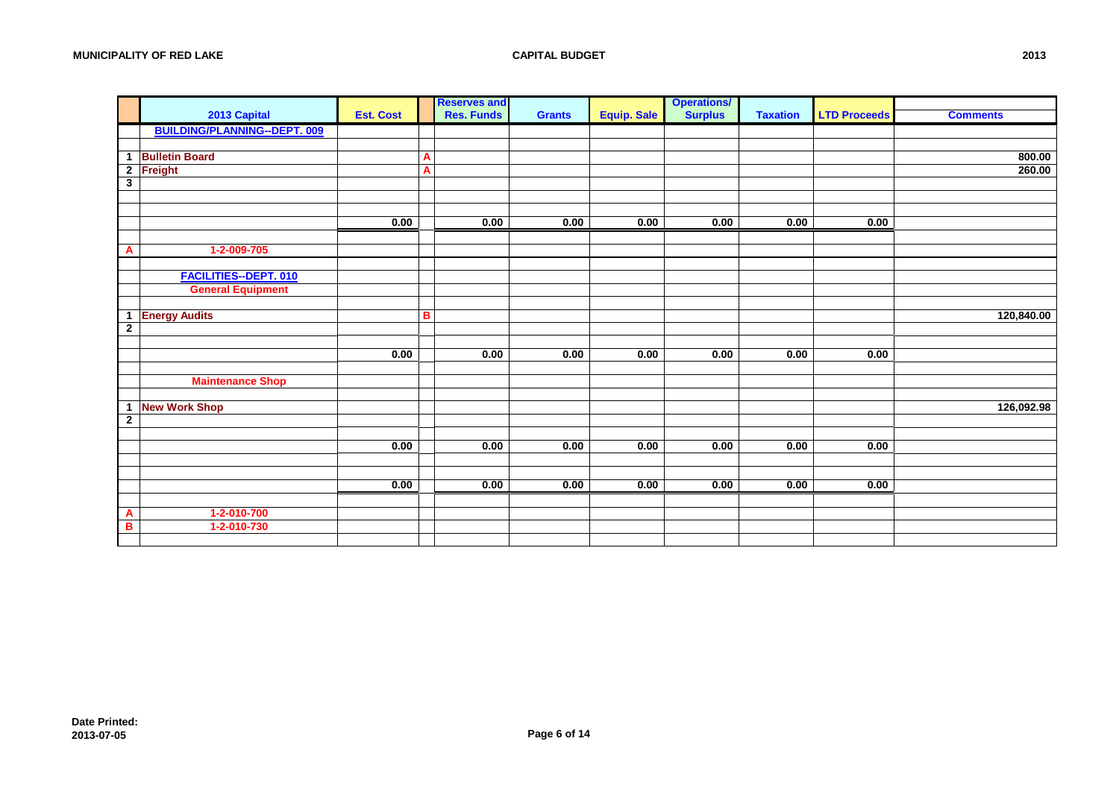|                         |                                     |                  |   | <b>Reserves and</b> |               |                    | <b>Operations/</b> |                 |                     |                 |
|-------------------------|-------------------------------------|------------------|---|---------------------|---------------|--------------------|--------------------|-----------------|---------------------|-----------------|
|                         | 2013 Capital                        | <b>Est. Cost</b> |   | <b>Res. Funds</b>   | <b>Grants</b> | <b>Equip. Sale</b> | <b>Surplus</b>     | <b>Taxation</b> | <b>LTD Proceeds</b> | <b>Comments</b> |
|                         | <b>BUILDING/PLANNING--DEPT. 009</b> |                  |   |                     |               |                    |                    |                 |                     |                 |
|                         |                                     |                  |   |                     |               |                    |                    |                 |                     |                 |
|                         | 1 Bulletin Board                    |                  | A |                     |               |                    |                    |                 |                     | 800.00          |
|                         | 2 Freight                           |                  | A |                     |               |                    |                    |                 |                     | 260.00          |
| $\overline{\mathbf{3}}$ |                                     |                  |   |                     |               |                    |                    |                 |                     |                 |
|                         |                                     |                  |   |                     |               |                    |                    |                 |                     |                 |
|                         |                                     |                  |   |                     |               |                    |                    |                 |                     |                 |
|                         |                                     | 0.00             |   | 0.00                | 0.00          | 0.00               | 0.00               | 0.00            | 0.00                |                 |
|                         |                                     |                  |   |                     |               |                    |                    |                 |                     |                 |
| A                       | 1-2-009-705                         |                  |   |                     |               |                    |                    |                 |                     |                 |
|                         |                                     |                  |   |                     |               |                    |                    |                 |                     |                 |
|                         | <b>FACILITIES--DEPT. 010</b>        |                  |   |                     |               |                    |                    |                 |                     |                 |
|                         | <b>General Equipment</b>            |                  |   |                     |               |                    |                    |                 |                     |                 |
|                         |                                     |                  |   |                     |               |                    |                    |                 |                     |                 |
| $\overline{2}$          | 1 Energy Audits                     |                  | B |                     |               |                    |                    |                 |                     | 120,840.00      |
|                         |                                     |                  |   |                     |               |                    |                    |                 |                     |                 |
|                         |                                     | 0.00             |   | 0.00                | 0.00          | 0.00               | 0.00               | 0.00            | 0.00                |                 |
|                         |                                     |                  |   |                     |               |                    |                    |                 |                     |                 |
|                         | <b>Maintenance Shop</b>             |                  |   |                     |               |                    |                    |                 |                     |                 |
|                         |                                     |                  |   |                     |               |                    |                    |                 |                     |                 |
|                         | 1 New Work Shop                     |                  |   |                     |               |                    |                    |                 |                     | 126,092.98      |
| $\overline{2}$          |                                     |                  |   |                     |               |                    |                    |                 |                     |                 |
|                         |                                     |                  |   |                     |               |                    |                    |                 |                     |                 |
|                         |                                     | 0.00             |   | 0.00                | 0.00          | 0.00               | 0.00               | 0.00            | 0.00                |                 |
|                         |                                     |                  |   |                     |               |                    |                    |                 |                     |                 |
|                         |                                     |                  |   |                     |               |                    |                    |                 |                     |                 |
|                         |                                     | 0.00             |   | 0.00                | 0.00          | 0.00               | 0.00               | 0.00            | 0.00                |                 |
|                         |                                     |                  |   |                     |               |                    |                    |                 |                     |                 |
| A                       | 1-2-010-700                         |                  |   |                     |               |                    |                    |                 |                     |                 |
| B                       | 1-2-010-730                         |                  |   |                     |               |                    |                    |                 |                     |                 |
|                         |                                     |                  |   |                     |               |                    |                    |                 |                     |                 |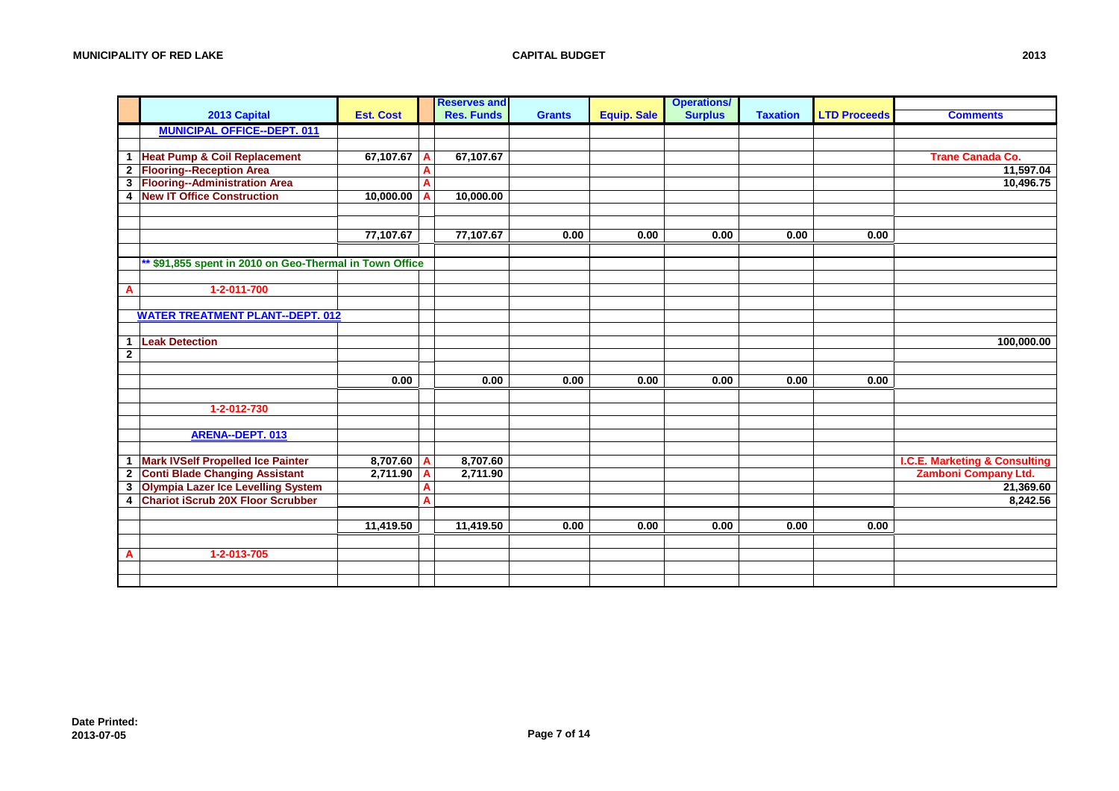|             |                                                         |                  |                | <b>Reserves and</b> |               |                    | <b>Operations/</b> |                 |                     |                                          |
|-------------|---------------------------------------------------------|------------------|----------------|---------------------|---------------|--------------------|--------------------|-----------------|---------------------|------------------------------------------|
|             | 2013 Capital                                            | <b>Est. Cost</b> |                | <b>Res. Funds</b>   | <b>Grants</b> | <b>Equip. Sale</b> | <b>Surplus</b>     | <b>Taxation</b> | <b>LTD Proceeds</b> | <b>Comments</b>                          |
|             | <b>MUNICIPAL OFFICE--DEPT. 011</b>                      |                  |                |                     |               |                    |                    |                 |                     |                                          |
|             |                                                         |                  |                |                     |               |                    |                    |                 |                     |                                          |
| 1           | <b>Heat Pump &amp; Coil Replacement</b>                 | 67,107.67        | A              | 67,107.67           |               |                    |                    |                 |                     | <b>Trane Canada Co.</b>                  |
|             | 2 Flooring--Reception Area                              |                  | A              |                     |               |                    |                    |                 |                     | 11,597.04                                |
|             | 3 Flooring--Administration Area                         |                  | A              |                     |               |                    |                    |                 |                     | 10,496.75                                |
| 4           | <b>New IT Office Construction</b>                       | 10,000.00        | $\overline{A}$ | 10,000.00           |               |                    |                    |                 |                     |                                          |
|             |                                                         |                  |                |                     |               |                    |                    |                 |                     |                                          |
|             |                                                         |                  |                |                     |               |                    |                    |                 |                     |                                          |
|             |                                                         | 77,107.67        |                | 77,107.67           | 0.00          | 0.00               | 0.00               | 0.00            | 0.00                |                                          |
|             |                                                         |                  |                |                     |               |                    |                    |                 |                     |                                          |
|             | ** \$91,855 spent in 2010 on Geo-Thermal in Town Office |                  |                |                     |               |                    |                    |                 |                     |                                          |
|             |                                                         |                  |                |                     |               |                    |                    |                 |                     |                                          |
| A           | 1-2-011-700                                             |                  |                |                     |               |                    |                    |                 |                     |                                          |
|             |                                                         |                  |                |                     |               |                    |                    |                 |                     |                                          |
|             | <b>WATER TREATMENT PLANT--DEPT. 012</b>                 |                  |                |                     |               |                    |                    |                 |                     |                                          |
|             |                                                         |                  |                |                     |               |                    |                    |                 |                     |                                          |
| 1           | <b>Leak Detection</b>                                   |                  |                |                     |               |                    |                    |                 |                     | 100,000.00                               |
| $\mathbf 2$ |                                                         |                  |                |                     |               |                    |                    |                 |                     |                                          |
|             |                                                         |                  |                |                     |               |                    |                    |                 |                     |                                          |
|             |                                                         | 0.00             |                | 0.00                | 0.00          | 0.00               | 0.00               | 0.00            | 0.00                |                                          |
|             |                                                         |                  |                |                     |               |                    |                    |                 |                     |                                          |
|             | 1-2-012-730                                             |                  |                |                     |               |                    |                    |                 |                     |                                          |
|             |                                                         |                  |                |                     |               |                    |                    |                 |                     |                                          |
|             | ARENA--DEPT. 013                                        |                  |                |                     |               |                    |                    |                 |                     |                                          |
|             |                                                         |                  |                |                     |               |                    |                    |                 |                     |                                          |
| 1           | Mark IVSelf Propelled Ice Painter                       | 8,707.60         | A              | 8,707.60            |               |                    |                    |                 |                     | <b>I.C.E. Marketing &amp; Consulting</b> |
| $\mathbf 2$ | <b>Conti Blade Changing Assistant</b>                   | 2,711.90         | A              | 2,711.90            |               |                    |                    |                 |                     | Zamboni Company Ltd.                     |
| 3           | Olympia Lazer Ice Levelling System                      |                  | A              |                     |               |                    |                    |                 |                     | 21,369.60                                |
| 4           | <b>Chariot iScrub 20X Floor Scrubber</b>                |                  | A              |                     |               |                    |                    |                 |                     | 8,242.56                                 |
|             |                                                         |                  |                |                     |               |                    |                    |                 |                     |                                          |
|             |                                                         | 11,419.50        |                | 11,419.50           | 0.00          | 0.00               | 0.00               | 0.00            | 0.00                |                                          |
|             |                                                         |                  |                |                     |               |                    |                    |                 |                     |                                          |
| A           | 1-2-013-705                                             |                  |                |                     |               |                    |                    |                 |                     |                                          |
|             |                                                         |                  |                |                     |               |                    |                    |                 |                     |                                          |
|             |                                                         |                  |                |                     |               |                    |                    |                 |                     |                                          |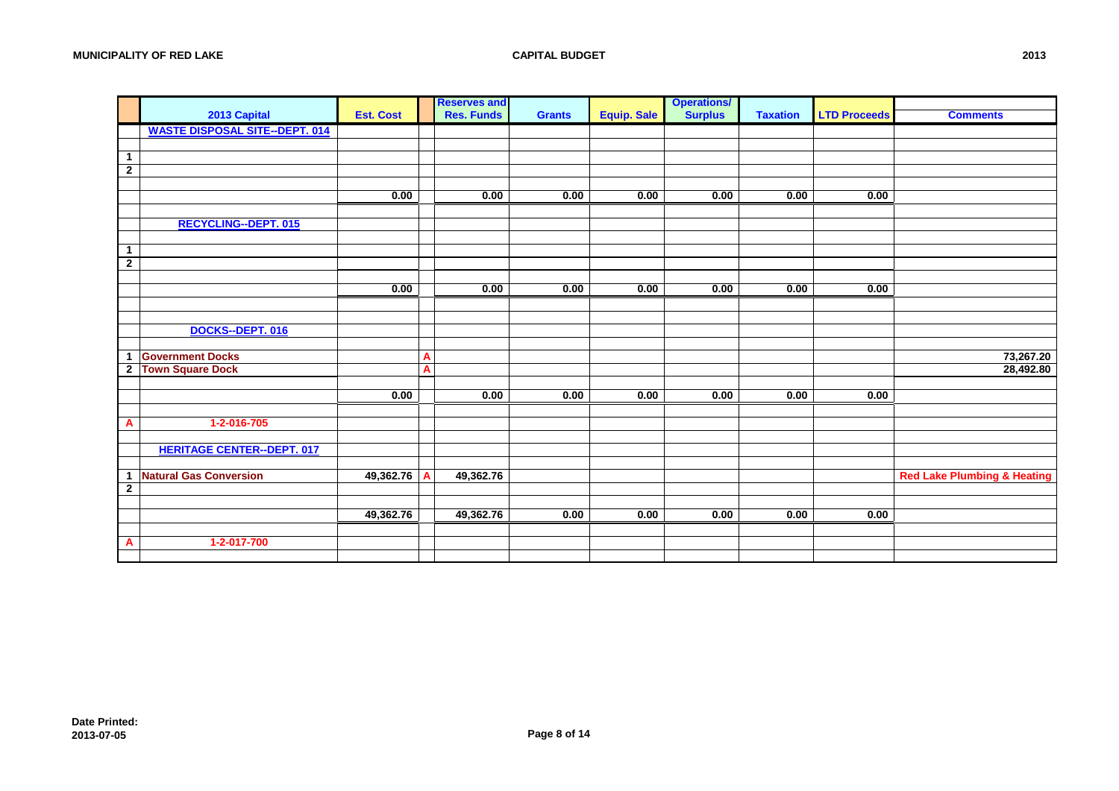|                |                                       |                  |   | <b>Reserves and</b> |               |                    | <b>Operations/</b> |                 |                     |                                        |
|----------------|---------------------------------------|------------------|---|---------------------|---------------|--------------------|--------------------|-----------------|---------------------|----------------------------------------|
|                | 2013 Capital                          | <b>Est. Cost</b> |   | <b>Res. Funds</b>   | <b>Grants</b> | <b>Equip. Sale</b> | <b>Surplus</b>     | <b>Taxation</b> | <b>LTD Proceeds</b> | <b>Comments</b>                        |
|                | <b>WASTE DISPOSAL SITE--DEPT. 014</b> |                  |   |                     |               |                    |                    |                 |                     |                                        |
|                |                                       |                  |   |                     |               |                    |                    |                 |                     |                                        |
| 1              |                                       |                  |   |                     |               |                    |                    |                 |                     |                                        |
| $\overline{2}$ |                                       |                  |   |                     |               |                    |                    |                 |                     |                                        |
|                |                                       |                  |   |                     |               |                    |                    |                 |                     |                                        |
|                |                                       | 0.00             |   | 0.00                | 0.00          | 0.00               | 0.00               | 0.00            | 0.00                |                                        |
|                |                                       |                  |   |                     |               |                    |                    |                 |                     |                                        |
|                | <b>RECYCLING--DEPT. 015</b>           |                  |   |                     |               |                    |                    |                 |                     |                                        |
|                |                                       |                  |   |                     |               |                    |                    |                 |                     |                                        |
| $\mathbf{1}$   |                                       |                  |   |                     |               |                    |                    |                 |                     |                                        |
| $\overline{2}$ |                                       |                  |   |                     |               |                    |                    |                 |                     |                                        |
|                |                                       |                  |   |                     |               |                    |                    |                 |                     |                                        |
|                |                                       | 0.00             |   | 0.00                | 0.00          | 0.00               | 0.00               | 0.00            | 0.00                |                                        |
|                |                                       |                  |   |                     |               |                    |                    |                 |                     |                                        |
|                |                                       |                  |   |                     |               |                    |                    |                 |                     |                                        |
|                | DOCKS--DEPT. 016                      |                  |   |                     |               |                    |                    |                 |                     |                                        |
|                |                                       |                  |   |                     |               |                    |                    |                 |                     |                                        |
|                | 1 Government Docks                    |                  | A |                     |               |                    |                    |                 |                     | 73,267.20                              |
| 2 <sup>1</sup> | <b>Town Square Dock</b>               |                  | A |                     |               |                    |                    |                 |                     | 28,492.80                              |
|                |                                       |                  |   |                     |               |                    |                    |                 |                     |                                        |
|                |                                       | 0.00             |   | 0.00                | 0.00          | 0.00               | 0.00               | 0.00            | 0.00                |                                        |
|                |                                       |                  |   |                     |               |                    |                    |                 |                     |                                        |
| A              | 1-2-016-705                           |                  |   |                     |               |                    |                    |                 |                     |                                        |
|                |                                       |                  |   |                     |               |                    |                    |                 |                     |                                        |
|                | <b>HERITAGE CENTER--DEPT. 017</b>     |                  |   |                     |               |                    |                    |                 |                     |                                        |
|                |                                       |                  |   |                     |               |                    |                    |                 |                     |                                        |
|                | 1 Natural Gas Conversion              | 49,362.76        | A | 49,362.76           |               |                    |                    |                 |                     | <b>Red Lake Plumbing &amp; Heating</b> |
| $\mathbf{2}$   |                                       |                  |   |                     |               |                    |                    |                 |                     |                                        |
|                |                                       |                  |   |                     |               |                    |                    |                 |                     |                                        |
|                |                                       | 49,362.76        |   | 49,362.76           | 0.00          | 0.00               | 0.00               | 0.00            | 0.00                |                                        |
|                |                                       |                  |   |                     |               |                    |                    |                 |                     |                                        |
| Α              | 1-2-017-700                           |                  |   |                     |               |                    |                    |                 |                     |                                        |
|                |                                       |                  |   |                     |               |                    |                    |                 |                     |                                        |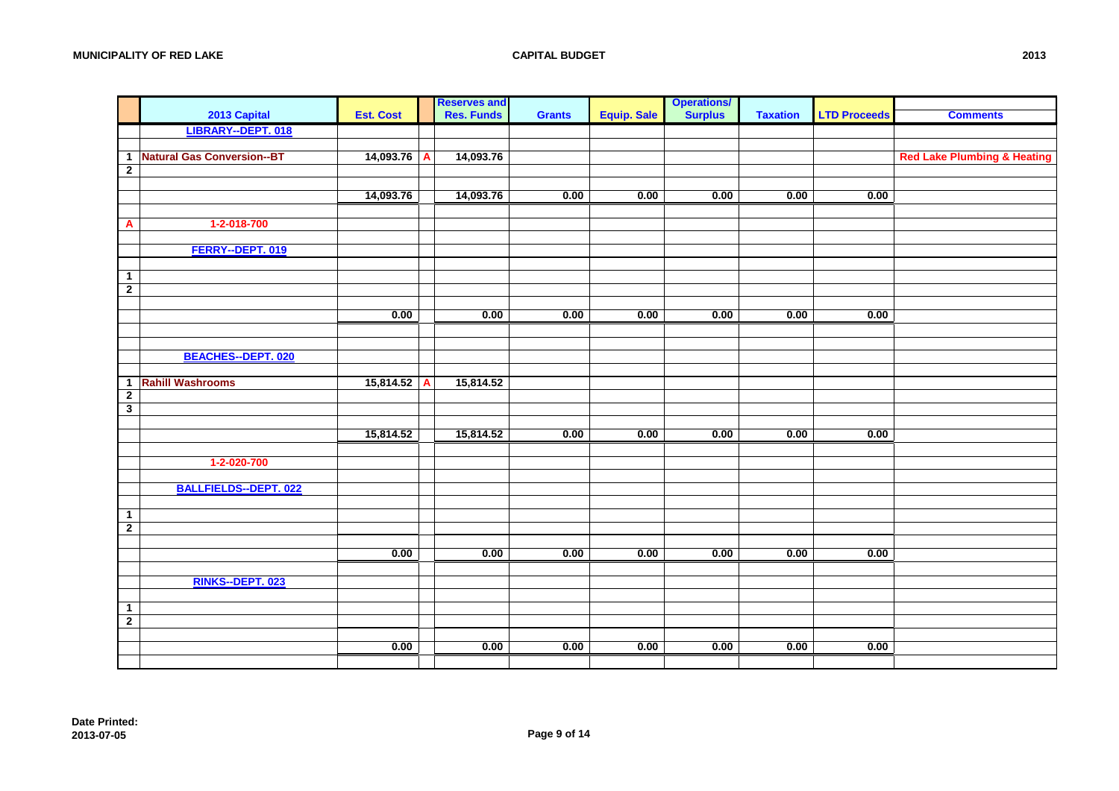|                         |                              |                  |   | <b>Reserves and<br/>Res. Funds</b> |               |                    | <b>Operations/</b><br><b>Surplus</b> |                 |                     |                                        |
|-------------------------|------------------------------|------------------|---|------------------------------------|---------------|--------------------|--------------------------------------|-----------------|---------------------|----------------------------------------|
|                         | 2013 Capital                 | <b>Est. Cost</b> |   |                                    | <b>Grants</b> | <b>Equip. Sale</b> |                                      | <b>Taxation</b> | <b>LTD Proceeds</b> | <b>Comments</b>                        |
|                         | LIBRARY--DEPT. 018           |                  |   |                                    |               |                    |                                      |                 |                     |                                        |
|                         |                              |                  |   |                                    |               |                    |                                      |                 |                     |                                        |
|                         | 1 Natural Gas Conversion--BT | 14,093.76        | A | 14,093.76                          |               |                    |                                      |                 |                     | <b>Red Lake Plumbing &amp; Heating</b> |
| $\overline{2}$          |                              |                  |   |                                    |               |                    |                                      |                 |                     |                                        |
|                         |                              |                  |   |                                    |               |                    |                                      |                 |                     |                                        |
|                         |                              | 14,093.76        |   | 14,093.76                          | 0.00          | 0.00               | 0.00                                 | 0.00            | 0.00                |                                        |
|                         |                              |                  |   |                                    |               |                    |                                      |                 |                     |                                        |
| A                       | 1-2-018-700                  |                  |   |                                    |               |                    |                                      |                 |                     |                                        |
|                         | FERRY--DEPT. 019             |                  |   |                                    |               |                    |                                      |                 |                     |                                        |
|                         |                              |                  |   |                                    |               |                    |                                      |                 |                     |                                        |
| $\mathbf{1}$            |                              |                  |   |                                    |               |                    |                                      |                 |                     |                                        |
| $\overline{2}$          |                              |                  |   |                                    |               |                    |                                      |                 |                     |                                        |
|                         |                              |                  |   |                                    |               |                    |                                      |                 |                     |                                        |
|                         |                              | 0.00             |   | 0.00                               | 0.00          | 0.00               | 0.00                                 | 0.00            | 0.00                |                                        |
|                         |                              |                  |   |                                    |               |                    |                                      |                 |                     |                                        |
|                         |                              |                  |   |                                    |               |                    |                                      |                 |                     |                                        |
|                         | <b>BEACHES--DEPT. 020</b>    |                  |   |                                    |               |                    |                                      |                 |                     |                                        |
|                         |                              |                  |   |                                    |               |                    |                                      |                 |                     |                                        |
|                         | 1 Rahill Washrooms           | 15,814.52        | A | 15,814.52                          |               |                    |                                      |                 |                     |                                        |
| $\overline{2}$          |                              |                  |   |                                    |               |                    |                                      |                 |                     |                                        |
| $\overline{\mathbf{3}}$ |                              |                  |   |                                    |               |                    |                                      |                 |                     |                                        |
|                         |                              |                  |   |                                    |               |                    |                                      |                 |                     |                                        |
|                         |                              | 15,814.52        |   | 15,814.52                          | 0.00          | 0.00               | 0.00                                 | 0.00            | 0.00                |                                        |
|                         |                              |                  |   |                                    |               |                    |                                      |                 |                     |                                        |
|                         | 1-2-020-700                  |                  |   |                                    |               |                    |                                      |                 |                     |                                        |
|                         | <b>BALLFIELDS--DEPT. 022</b> |                  |   |                                    |               |                    |                                      |                 |                     |                                        |
|                         |                              |                  |   |                                    |               |                    |                                      |                 |                     |                                        |
| $\mathbf{1}$            |                              |                  |   |                                    |               |                    |                                      |                 |                     |                                        |
| $\overline{2}$          |                              |                  |   |                                    |               |                    |                                      |                 |                     |                                        |
|                         |                              |                  |   |                                    |               |                    |                                      |                 |                     |                                        |
|                         |                              | 0.00             |   | 0.00                               | 0.00          | 0.00               | 0.00                                 | 0.00            | 0.00                |                                        |
|                         |                              |                  |   |                                    |               |                    |                                      |                 |                     |                                        |
|                         | RINKS--DEPT. 023             |                  |   |                                    |               |                    |                                      |                 |                     |                                        |
|                         |                              |                  |   |                                    |               |                    |                                      |                 |                     |                                        |
| $\mathbf{1}$            |                              |                  |   |                                    |               |                    |                                      |                 |                     |                                        |
| $\overline{2}$          |                              |                  |   |                                    |               |                    |                                      |                 |                     |                                        |
|                         |                              |                  |   |                                    |               |                    |                                      |                 |                     |                                        |
|                         |                              | 0.00             |   | 0.00                               | 0.00          | 0.00               | 0.00                                 | 0.00            | 0.00                |                                        |
|                         |                              |                  |   |                                    |               |                    |                                      |                 |                     |                                        |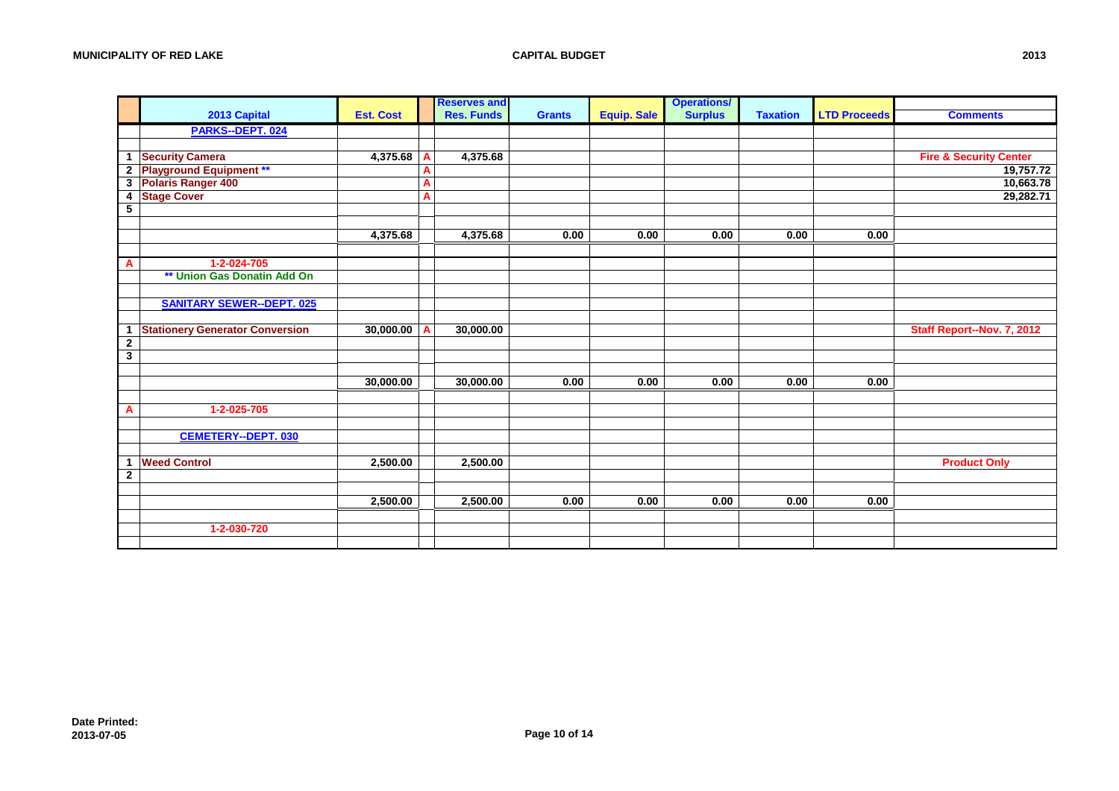|                   |                                        |                  |   | <b>Reserves and</b> |               |                    | <b>Operations/</b> |                 |                     |                                   |
|-------------------|----------------------------------------|------------------|---|---------------------|---------------|--------------------|--------------------|-----------------|---------------------|-----------------------------------|
|                   | 2013 Capital                           | <b>Est. Cost</b> |   | <b>Res. Funds</b>   | <b>Grants</b> | <b>Equip. Sale</b> | <b>Surplus</b>     | <b>Taxation</b> | <b>LTD Proceeds</b> | <b>Comments</b>                   |
|                   | PARKS--DEPT. 024                       |                  |   |                     |               |                    |                    |                 |                     |                                   |
|                   |                                        |                  |   |                     |               |                    |                    |                 |                     |                                   |
|                   | 1 Security Camera                      | 4,375.68         |   | 4,375.68            |               |                    |                    |                 |                     | <b>Fire &amp; Security Center</b> |
|                   | 2 Playground Equipment **              |                  | A |                     |               |                    |                    |                 |                     | 19,757.72                         |
|                   | 3 Polaris Ranger 400                   |                  | A |                     |               |                    |                    |                 |                     | 10,663.78                         |
| 4                 | <b>Stage Cover</b>                     |                  | A |                     |               |                    |                    |                 |                     | 29,282.71                         |
| $5\overline{)}$   |                                        |                  |   |                     |               |                    |                    |                 |                     |                                   |
|                   |                                        |                  |   |                     |               |                    |                    |                 |                     |                                   |
|                   |                                        | 4,375.68         |   | 4,375.68            | 0.00          | 0.00               | 0.00               | 0.00            | 0.00                |                                   |
|                   |                                        |                  |   |                     |               |                    |                    |                 |                     |                                   |
| A                 | 1-2-024-705                            |                  |   |                     |               |                    |                    |                 |                     |                                   |
|                   | ** Union Gas Donatin Add On            |                  |   |                     |               |                    |                    |                 |                     |                                   |
|                   |                                        |                  |   |                     |               |                    |                    |                 |                     |                                   |
|                   | <b>SANITARY SEWER--DEPT. 025</b>       |                  |   |                     |               |                    |                    |                 |                     |                                   |
|                   |                                        |                  |   |                     |               |                    |                    |                 |                     |                                   |
| $\mathbf{1}$      | <b>Stationery Generator Conversion</b> | 30,000.00        |   | 30,000.00           |               |                    |                    |                 |                     | Staff Report--Nov. 7, 2012        |
| $\mathbf{2}$<br>3 |                                        |                  |   |                     |               |                    |                    |                 |                     |                                   |
|                   |                                        |                  |   |                     |               |                    |                    |                 |                     |                                   |
|                   |                                        | 30,000.00        |   | 30,000.00           | 0.00          | 0.00               | 0.00               | 0.00            | 0.00                |                                   |
|                   |                                        |                  |   |                     |               |                    |                    |                 |                     |                                   |
| A                 | 1-2-025-705                            |                  |   |                     |               |                    |                    |                 |                     |                                   |
|                   |                                        |                  |   |                     |               |                    |                    |                 |                     |                                   |
|                   | <b>CEMETERY--DEPT. 030</b>             |                  |   |                     |               |                    |                    |                 |                     |                                   |
|                   |                                        |                  |   |                     |               |                    |                    |                 |                     |                                   |
| 1                 | <b>Weed Control</b>                    | 2,500.00         |   | 2,500.00            |               |                    |                    |                 |                     | <b>Product Only</b>               |
| $\mathbf{2}$      |                                        |                  |   |                     |               |                    |                    |                 |                     |                                   |
|                   |                                        |                  |   |                     |               |                    |                    |                 |                     |                                   |
|                   |                                        | 2,500.00         |   | 2,500.00            | 0.00          | 0.00               | 0.00               | 0.00            | 0.00                |                                   |
|                   |                                        |                  |   |                     |               |                    |                    |                 |                     |                                   |
|                   | 1-2-030-720                            |                  |   |                     |               |                    |                    |                 |                     |                                   |
|                   |                                        |                  |   |                     |               |                    |                    |                 |                     |                                   |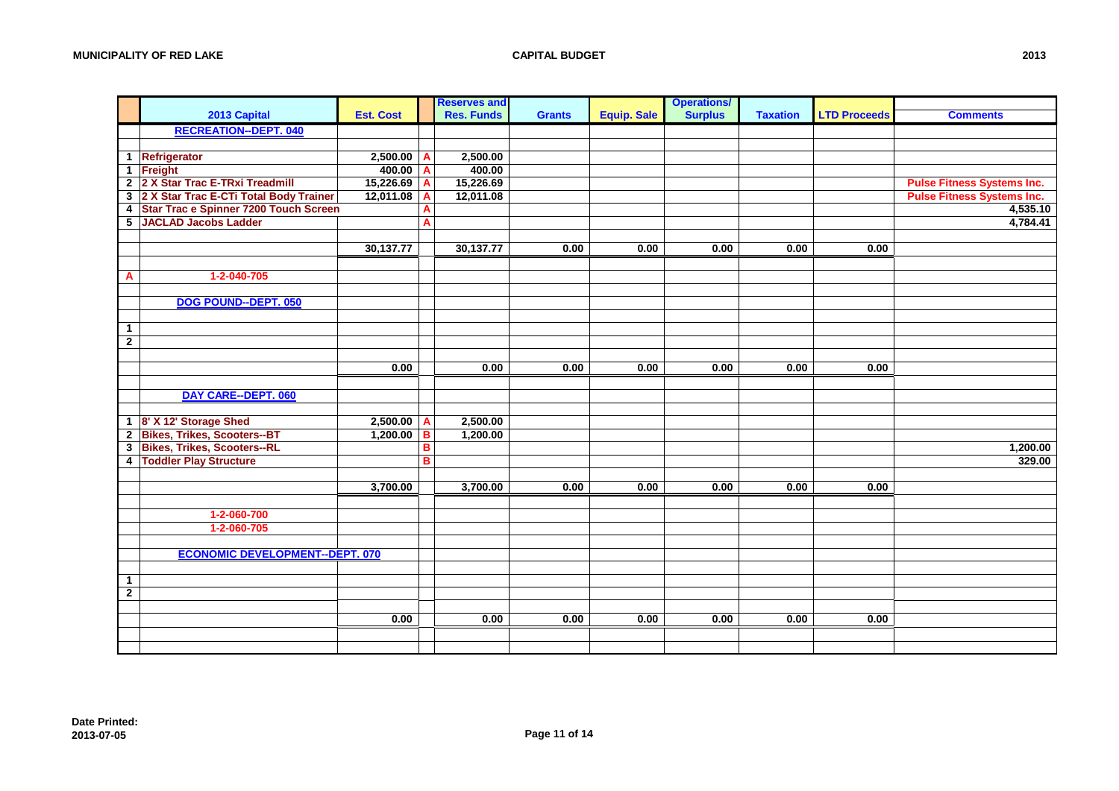|                |                                          |                  |   | <b>Reserves and</b> |               |                    | <b>Operations/</b> |                 |                     |                                   |
|----------------|------------------------------------------|------------------|---|---------------------|---------------|--------------------|--------------------|-----------------|---------------------|-----------------------------------|
|                | 2013 Capital                             | <b>Est. Cost</b> |   | <b>Res. Funds</b>   | <b>Grants</b> | <b>Equip. Sale</b> | <b>Surplus</b>     | <b>Taxation</b> | <b>LTD Proceeds</b> | <b>Comments</b>                   |
|                | <b>RECREATION--DEPT. 040</b>             |                  |   |                     |               |                    |                    |                 |                     |                                   |
|                |                                          |                  |   |                     |               |                    |                    |                 |                     |                                   |
|                | 1 Refrigerator                           | 2,500.00         | А | 2,500.00            |               |                    |                    |                 |                     |                                   |
|                | 1 Freight                                | 400.00           | A | 400.00              |               |                    |                    |                 |                     |                                   |
|                | 2 2 X Star Trac E-TRxi Treadmill         | 15,226.69        | A | 15,226.69           |               |                    |                    |                 |                     | <b>Pulse Fitness Systems Inc.</b> |
|                | 3 2 X Star Trac E-CTi Total Body Trainer | 12,011.08        | A | 12,011.08           |               |                    |                    |                 |                     | <b>Pulse Fitness Systems Inc.</b> |
|                | 4 Star Trac e Spinner 7200 Touch Screen  |                  | A |                     |               |                    |                    |                 |                     | 4,535.10                          |
|                | 5 JACLAD Jacobs Ladder                   |                  | Α |                     |               |                    |                    |                 |                     | 4,784.41                          |
|                |                                          |                  |   |                     |               |                    |                    |                 |                     |                                   |
|                |                                          | 30,137.77        |   | 30,137.77           | 0.00          | 0.00               | 0.00               | 0.00            | 0.00                |                                   |
|                |                                          |                  |   |                     |               |                    |                    |                 |                     |                                   |
| A              | 1-2-040-705                              |                  |   |                     |               |                    |                    |                 |                     |                                   |
|                |                                          |                  |   |                     |               |                    |                    |                 |                     |                                   |
|                | DOG POUND--DEPT. 050                     |                  |   |                     |               |                    |                    |                 |                     |                                   |
|                |                                          |                  |   |                     |               |                    |                    |                 |                     |                                   |
| $\mathbf{1}$   |                                          |                  |   |                     |               |                    |                    |                 |                     |                                   |
| $\overline{2}$ |                                          |                  |   |                     |               |                    |                    |                 |                     |                                   |
|                |                                          |                  |   |                     |               |                    |                    |                 |                     |                                   |
|                |                                          | 0.00             |   | 0.00                | 0.00          | 0.00               | 0.00               | 0.00            | 0.00                |                                   |
|                |                                          |                  |   |                     |               |                    |                    |                 |                     |                                   |
|                | <b>DAY CARE--DEPT. 060</b>               |                  |   |                     |               |                    |                    |                 |                     |                                   |
|                |                                          |                  |   |                     |               |                    |                    |                 |                     |                                   |
|                | 1 8' X 12' Storage Shed                  | 2,500.00         | A | 2,500.00            |               |                    |                    |                 |                     |                                   |
|                | 2 Bikes, Trikes, Scooters--BT            | 1,200.00         | B | 1,200.00            |               |                    |                    |                 |                     |                                   |
|                | 3 Bikes, Trikes, Scooters--RL            |                  | в |                     |               |                    |                    |                 |                     | 1,200.00                          |
|                | 4 Toddler Play Structure                 |                  | B |                     |               |                    |                    |                 |                     | 329.00                            |
|                |                                          |                  |   |                     |               |                    |                    |                 |                     |                                   |
|                |                                          | 3,700.00         |   | 3,700.00            | 0.00          | 0.00               | 0.00               | 0.00            | 0.00                |                                   |
|                |                                          |                  |   |                     |               |                    |                    |                 |                     |                                   |
|                | 1-2-060-700                              |                  |   |                     |               |                    |                    |                 |                     |                                   |
|                | 1-2-060-705                              |                  |   |                     |               |                    |                    |                 |                     |                                   |
|                |                                          |                  |   |                     |               |                    |                    |                 |                     |                                   |
|                | <b>ECONOMIC DEVELOPMENT--DEPT. 070</b>   |                  |   |                     |               |                    |                    |                 |                     |                                   |
|                |                                          |                  |   |                     |               |                    |                    |                 |                     |                                   |
| $\mathbf{1}$   |                                          |                  |   |                     |               |                    |                    |                 |                     |                                   |
| $\overline{2}$ |                                          |                  |   |                     |               |                    |                    |                 |                     |                                   |
|                |                                          |                  |   |                     |               |                    |                    |                 |                     |                                   |
|                |                                          | 0.00             |   | 0.00                | 0.00          | 0.00               | 0.00               | 0.00            | 0.00                |                                   |
|                |                                          |                  |   |                     |               |                    |                    |                 |                     |                                   |
|                |                                          |                  |   |                     |               |                    |                    |                 |                     |                                   |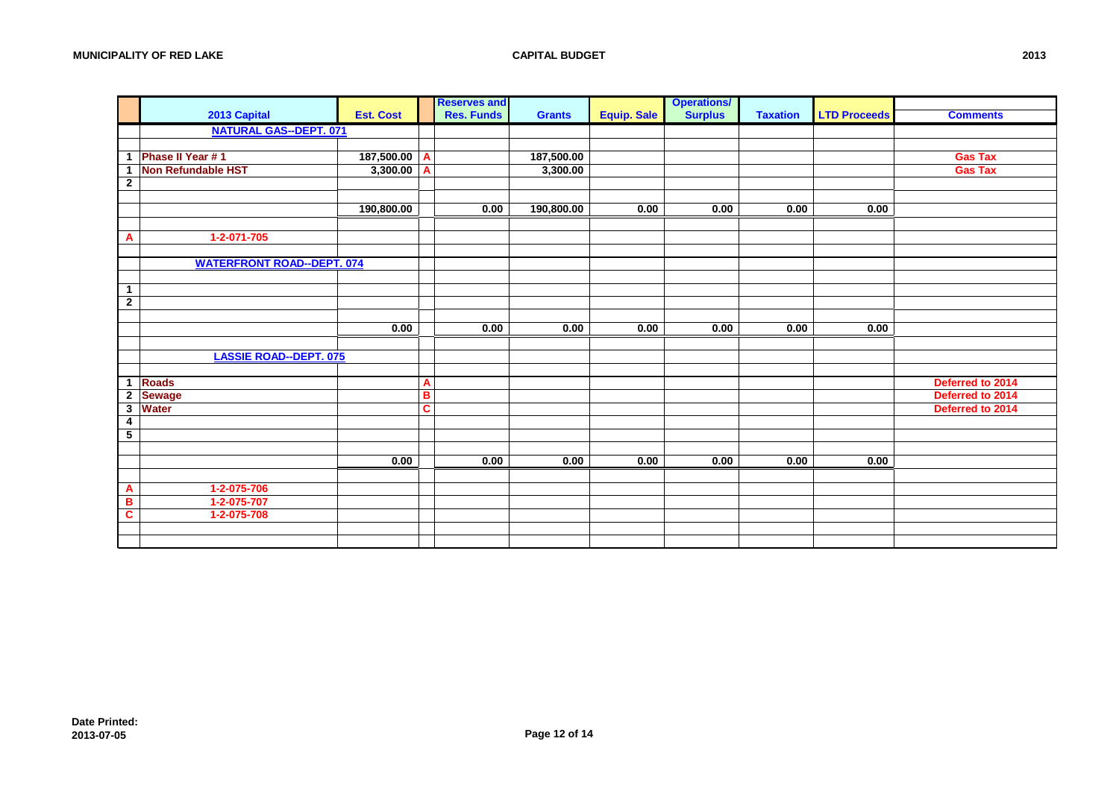|                         |                                   |                  |                         | <b>Reserves and</b> |               |                    | <b>Operations/</b> |                 |                     |                  |
|-------------------------|-----------------------------------|------------------|-------------------------|---------------------|---------------|--------------------|--------------------|-----------------|---------------------|------------------|
|                         | 2013 Capital                      | <b>Est. Cost</b> |                         | <b>Res. Funds</b>   | <b>Grants</b> | <b>Equip. Sale</b> | <b>Surplus</b>     | <b>Taxation</b> | <b>LTD Proceeds</b> | <b>Comments</b>  |
|                         | <b>NATURAL GAS--DEPT. 071</b>     |                  |                         |                     |               |                    |                    |                 |                     |                  |
|                         |                                   |                  |                         |                     |               |                    |                    |                 |                     |                  |
| -1                      | Phase II Year #1                  | 187,500.00       | A                       |                     | 187,500.00    |                    |                    |                 |                     | <b>Gas Tax</b>   |
| 1                       | <b>Non Refundable HST</b>         | 3,300.00         | A                       |                     | 3,300.00      |                    |                    |                 |                     | <b>Gas Tax</b>   |
| $\mathbf{2}$            |                                   |                  |                         |                     |               |                    |                    |                 |                     |                  |
|                         |                                   |                  |                         |                     |               |                    |                    |                 |                     |                  |
|                         |                                   | 190,800.00       |                         | 0.00                | 190,800.00    | 0.00               | 0.00               | 0.00            | 0.00                |                  |
|                         |                                   |                  |                         |                     |               |                    |                    |                 |                     |                  |
| A                       | 1-2-071-705                       |                  |                         |                     |               |                    |                    |                 |                     |                  |
|                         |                                   |                  |                         |                     |               |                    |                    |                 |                     |                  |
|                         | <b>WATERFRONT ROAD--DEPT. 074</b> |                  |                         |                     |               |                    |                    |                 |                     |                  |
|                         |                                   |                  |                         |                     |               |                    |                    |                 |                     |                  |
| $\mathbf{1}$            |                                   |                  |                         |                     |               |                    |                    |                 |                     |                  |
| $\overline{2}$          |                                   |                  |                         |                     |               |                    |                    |                 |                     |                  |
|                         |                                   |                  |                         |                     |               |                    |                    |                 |                     |                  |
|                         |                                   | 0.00             |                         | 0.00                | 0.00          | 0.00               | 0.00               | 0.00            | 0.00                |                  |
|                         |                                   |                  |                         |                     |               |                    |                    |                 |                     |                  |
|                         | <b>LASSIE ROAD--DEPT. 075</b>     |                  |                         |                     |               |                    |                    |                 |                     |                  |
|                         |                                   |                  |                         |                     |               |                    |                    |                 |                     |                  |
| 1                       | <b>Roads</b>                      |                  | A                       |                     |               |                    |                    |                 |                     | Deferred to 2014 |
|                         | 2 Sewage                          |                  | $\overline{\mathbf{B}}$ |                     |               |                    |                    |                 |                     | Deferred to 2014 |
|                         | 3 Water                           |                  | C                       |                     |               |                    |                    |                 |                     | Deferred to 2014 |
| 4                       |                                   |                  |                         |                     |               |                    |                    |                 |                     |                  |
| $5\phantom{.0}$         |                                   |                  |                         |                     |               |                    |                    |                 |                     |                  |
|                         |                                   |                  |                         |                     |               |                    |                    |                 |                     |                  |
|                         |                                   | 0.00             |                         | 0.00                | 0.00          | 0.00               | 0.00               | 0.00            | 0.00                |                  |
|                         |                                   |                  |                         |                     |               |                    |                    |                 |                     |                  |
| A                       | 1-2-075-706                       |                  |                         |                     |               |                    |                    |                 |                     |                  |
| в                       | 1-2-075-707                       |                  |                         |                     |               |                    |                    |                 |                     |                  |
| $\overline{\mathbf{c}}$ | 1-2-075-708                       |                  |                         |                     |               |                    |                    |                 |                     |                  |
|                         |                                   |                  |                         |                     |               |                    |                    |                 |                     |                  |
|                         |                                   |                  |                         |                     |               |                    |                    |                 |                     |                  |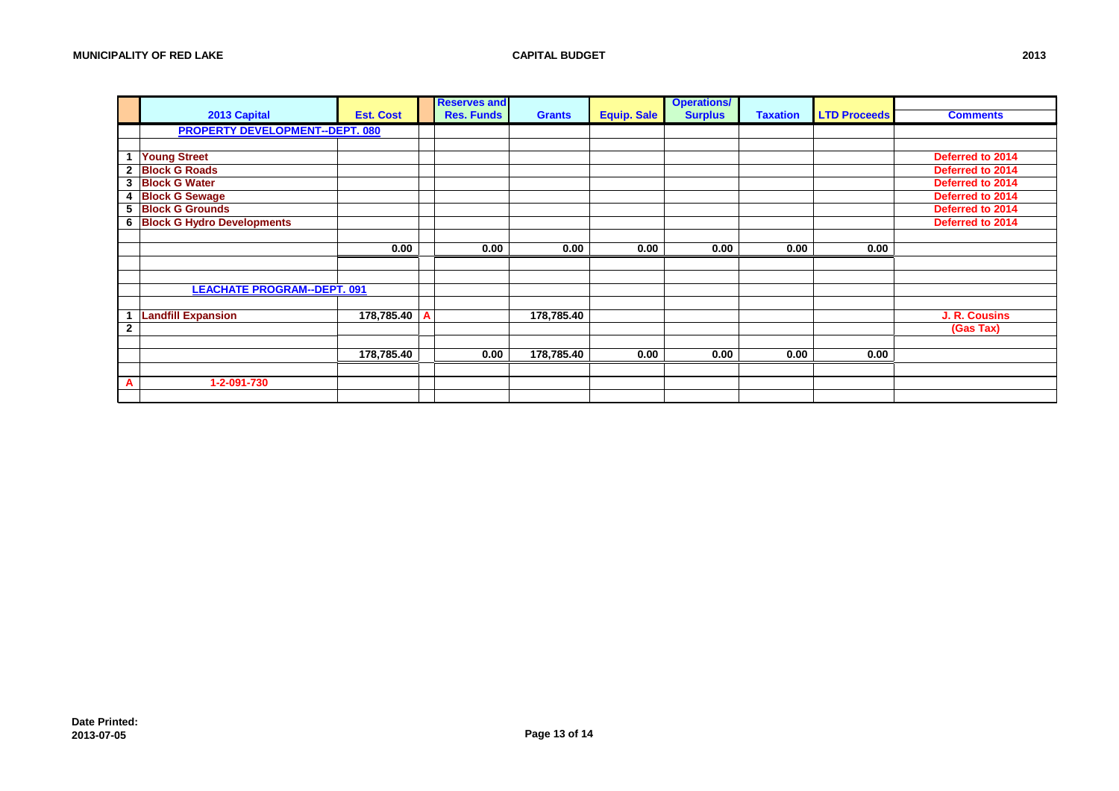|              |                                        |                  | <b>Reserves and</b> |               |                    | <b>Operations/</b> |                 |                     |                  |
|--------------|----------------------------------------|------------------|---------------------|---------------|--------------------|--------------------|-----------------|---------------------|------------------|
|              | 2013 Capital                           | <b>Est. Cost</b> | <b>Res. Funds</b>   | <b>Grants</b> | <b>Equip. Sale</b> | <b>Surplus</b>     | <b>Taxation</b> | <b>LTD Proceeds</b> | <b>Comments</b>  |
|              | <b>PROPERTY DEVELOPMENT--DEPT. 080</b> |                  |                     |               |                    |                    |                 |                     |                  |
|              |                                        |                  |                     |               |                    |                    |                 |                     |                  |
|              | <b>Young Street</b>                    |                  |                     |               |                    |                    |                 |                     | Deferred to 2014 |
|              | 2 Block G Roads                        |                  |                     |               |                    |                    |                 |                     | Deferred to 2014 |
|              | 3 Block G Water                        |                  |                     |               |                    |                    |                 |                     | Deferred to 2014 |
| 4            | <b>Block G Sewage</b>                  |                  |                     |               |                    |                    |                 |                     | Deferred to 2014 |
|              | 5 Block G Grounds                      |                  |                     |               |                    |                    |                 |                     | Deferred to 2014 |
|              | <b>6 Block G Hydro Developments</b>    |                  |                     |               |                    |                    |                 |                     | Deferred to 2014 |
|              |                                        |                  |                     |               |                    |                    |                 |                     |                  |
|              |                                        | 0.00             | 0.00                | 0.00          | 0.00               | 0.00               | 0.00            | 0.00                |                  |
|              |                                        |                  |                     |               |                    |                    |                 |                     |                  |
|              |                                        |                  |                     |               |                    |                    |                 |                     |                  |
|              | <b>LEACHATE PROGRAM--DEPT. 091</b>     |                  |                     |               |                    |                    |                 |                     |                  |
|              |                                        |                  |                     |               |                    |                    |                 |                     |                  |
|              | <b>Landfill Expansion</b>              | 178,785.40       |                     | 178,785.40    |                    |                    |                 |                     | J. R. Cousins    |
| $\mathbf{2}$ |                                        |                  |                     |               |                    |                    |                 |                     | (Gas Tax)        |
|              |                                        |                  |                     |               |                    |                    |                 |                     |                  |
|              |                                        | 178,785.40       | 0.00                | 178,785.40    | 0.00               | 0.00               | 0.00            | 0.00                |                  |
|              |                                        |                  |                     |               |                    |                    |                 |                     |                  |
| A            | 1-2-091-730                            |                  |                     |               |                    |                    |                 |                     |                  |
|              |                                        |                  |                     |               |                    |                    |                 |                     |                  |